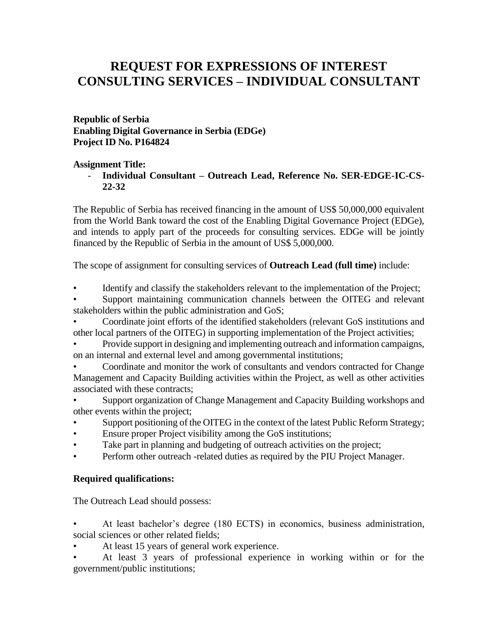## **REQUEST FOR EXPRESSIONS OF INTEREST CONSULTING SERVICES – INDIVIDUAL CONSULTANT**

**Republic of Serbia Enabling Digital Governance in Serbia (EDGe) Project ID No. P164824**

## **Assignment Title:**

- **Individual Consultant – Outreach Lead, Reference No. SER-EDGE-IC-CS-22-32**

The Republic of Serbia has received financing in the amount of US\$ 50,000,000 equivalent from the World Bank toward the cost of the Enabling Digital Governance Project (EDGe), and intends to apply part of the proceeds for consulting services. EDGe will be jointly financed by the Republic of Serbia in the amount of US\$ 5,000,000.

The scope of assignment for consulting services of **Outreach Lead (full time)** include:

• Identify and classify the stakeholders relevant to the implementation of the Project;

Support maintaining communication channels between the OITEG and relevant stakeholders within the public administration and GoS;

• Coordinate joint efforts of the identified stakeholders (relevant GoS institutions and other local partners of the OITEG) in supporting implementation of the Project activities;

• Provide support in designing and implementing outreach and information campaigns, on an internal and external level and among governmental institutions;

• Coordinate and monitor the work of consultants and vendors contracted for Change Management and Capacity Building activities within the Project, as well as other activities associated with these contracts;

• Support organization of Change Management and Capacity Building workshops and other events within the project;

- Support positioning of the OITEG in the context of the latest Public Reform Strategy;
- Ensure proper Project visibility among the GoS institutions;
- Take part in planning and budgeting of outreach activities on the project;
- Perform other outreach -related duties as required by the PIU Project Manager.

## **Required qualifications:**

The Outreach Lead should possess:

• At least bachelor's degree (180 ECTS) in economics, business administration, social sciences or other related fields;

At least 15 years of general work experience.

• At least 3 years of professional experience in working within or for the government/public institutions;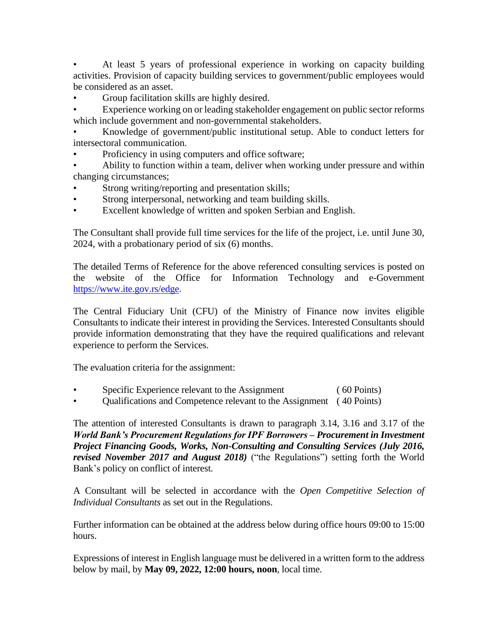• At least 5 years of professional experience in working on capacity building activities. Provision of capacity building services to government/public employees would be considered as an asset.

• Group facilitation skills are highly desired.

Experience working on or leading stakeholder engagement on public sector reforms which include government and non-governmental stakeholders.

• Knowledge of government/public institutional setup. Able to conduct letters for intersectoral communication.

Proficiency in using computers and office software;

• Ability to function within a team, deliver when working under pressure and within changing circumstances;

- Strong writing/reporting and presentation skills;
- Strong interpersonal, networking and team building skills.
- Excellent knowledge of written and spoken Serbian and English.

The Consultant shall provide full time services for the life of the project, i.e. until June 30, 2024, with a probationary period of six (6) months.

The detailed Terms of Reference for the above referenced consulting services is posted on the website of the Office for Information Technology and e-Government [https://www.ite.gov.rs/edge.](https://www.ite.gov.rs/edge)

The Central Fiduciary Unit (CFU) of the Ministry of Finance now invites eligible Consultants to indicate their interest in providing the Services. Interested Consultants should provide information demonstrating that they have the required qualifications and relevant experience to perform the Services.

The evaluation criteria for the assignment:

- Specific Experience relevant to the Assignment ( 60 Points)
- Qualifications and Competence relevant to the Assignment ( 40 Points)

The attention of interested Consultants is drawn to paragraph 3.14, 3.16 and 3.17 of the *World Bank's Procurement Regulations for IPF Borrowers – Procurement in Investment Project Financing Goods, Works, Non-Consulting and Consulting Services (July 2016, revised November 2017 and August 2018)* ("the Regulations") setting forth the World Bank's policy on conflict of interest.

A Consultant will be selected in accordance with the *Open Competitive Selection of Individual Consultants* as set out in the Regulations.

Further information can be obtained at the address below during office hours 09:00 to 15:00 hours.

Expressions of interest in English language must be delivered in a written form to the address below by mail, by **May 09, 2022, 12:00 hours, noon**, local time.